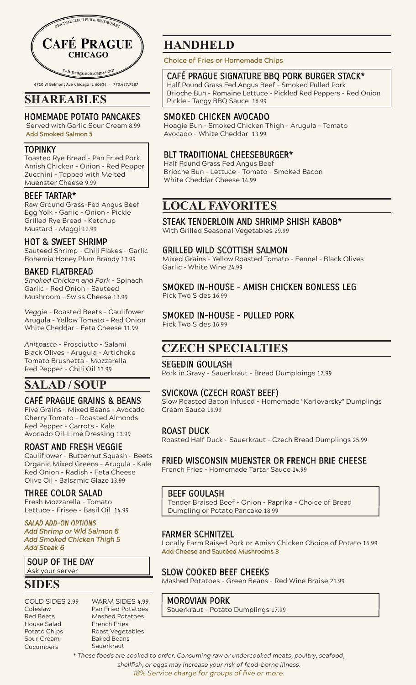

6710 W Belmont Ave Chicago IL 60634 - 773.427.7587

## **SHAREABLES**

#### HOMEMADE POTATO PANCAKES

 Served with Garlic Sour Cream 8.99 Add Smoked Salmon 5

#### TOPINKY

Toasted Rye Bread - Pan Fried Pork Amish Chicken - Onion - Red Pepper Zucchini - Topped with Melted Muenster Cheese 9.99

#### BEEF TARTAR\*

Raw Ground Grass-Fed Angus Beef Egg Yolk - Garlic - Onion - Pickle Grilled Rye Bread - Ketchup Mustard - Maggi 12.99

#### HOT & SWEET SHRIMP

Sauteed Shrimp - Chili Flakes - Garlic Bohemia Honey Plum Brandy 13.99

### BAKED FLATBREAD

*Smoked Chicken and Pork* - Spinach Garlic - Red Onion - Sauteed Mushroom - Swiss Cheese 13.99

*Veggie* - Roasted Beets - Caulifower Arugula - Yellow Tomato - Red Onion White Cheddar - Feta Cheese 11.99

*Anitpasto* - Prosciutto - Salami Black Olives - Arugula - Artichoke Tomato Brushetta - Mozzarella Red Pepper - Chili Oil 13.99

# **SALAD / SOUP**

## CAFÉ PRAGUE GRAINS & BEANS

Five Grains - Mixed Beans - Avocado Cherry Tomato - Roasted Almonds Red Pepper - Carrots - Kale Avocado Oil-Lime Dressing 13.99

#### ROAST AND FRESH VEGGIE

Cauliflower - Butternut Squash - Beets Organic Mixed Greens - Arugula - Kale Red Onion - Radish - Feta Cheese Olive Oil - Balsamic Glaze 13.99

## THREE COLOR SALAD

Fresh Mozzarella - Tomato Lettuce - Frisee - Basil Oil 14.99

SALAD ADD-ON OPTIONS *Add Shrimp or Wld Salmon 6 Add Smoked Chicken Thigh 5 Add Steak 6*

# SOUP OF THE DAY

Ask your server

## **SIDES**

- COLD SIDES 2.99 Coleslaw Red Beets House Salad Potato Chips Sour Cream-Cucumbers
- WARM SIDES 4.99 Pan Fried Potatoes Mashed Potatoes French Fries Roast Vegetables Baked Beans **Sauerkraut**

# **HANDHELD**

Choice of Fries or Homemade Chips

## CAFÉ PRAGUE SIGNATURE BBQ PORK BURGER STACK\*

Half Pound Grass Fed Angus Beef - Smoked Pulled Pork Brioche Bun - Romaine Lettuce - Pickled Red Peppers - Red Onion Pickle - Tangy BBQ Sauce 16.99

## SMOKED CHICKEN AVOCADO

Hoagie Bun - Smoked Chicken Thigh - Arugula - Tomato Avocado - White Cheddar 13.99

## BLT TRADITIONAL CHEESEBURGER\*

Half Pound Grass Fed Angus Beef Brioche Bun - Lettuce - Tomato - Smoked Bacon White Cheddar Cheese 14.99

# **LOCAL FAVORITES**

### STEAK TENDERLOIN AND SHRIMP SHISH KABOB\*

With Grilled Seasonal Vegetables 29.99

### GRILLED WILD SCOTTISH SALMON

Mixed Grains – Yellow Roasted Tomato – Fennel – Black Olives Garlic – White Wine 24.99

# SMOKED IN-HOUSE - AMISH CHICKEN BONLESS LEG

Pick Two Sides 16.99

### SMOKED IN-HOUSE - PULLED PORK

Pick Two Sides 16.99

## **CZECH SPECIALTIES**

## SEGEDIN GOULASH

Pork in Gravy - Sauerkraut - Bread Dumploings 17.99

## SVICKOVA (CZECH ROAST BEEF)

Slow Roasted Bacon Infused - Homemade "Karlovarsky" Dumplings Cream Sauce 19.99

#### ROAST DUCK

Roasted Half Duck - Sauerkraut - Czech Bread Dumplings 25.99

## FRIED WISCONSIN MUENSTER OR FRENCH BRIE CHEESE

French Fries - Homemade Tartar Sauce 14.99

## BEEF GOULASH

Tender Braised Beef - Onion - Paprika - Choice of Bread Dumpling or Potato Pancake 18.99

## FARMER SCHNITZEL

Locally Farm Raised Pork or Amish Chicken Choice of Potato 16.99 Add Cheese and Sautéed Mushrooms 3

## SLOW COOKED BEEF CHEEKS

Mashed Potatoes - Green Beans - Red Wine Braise 21.99

## MOROVIAN PORK

Sauerkraut - Potato Dumplings 17.99

*\* These foods are cooked to order. Consuming raw or undercooked meats, poultry, seafood, shellfish, or eggs may increase your risk of food-borne illness. 18% Service charge for groups of five or more.*